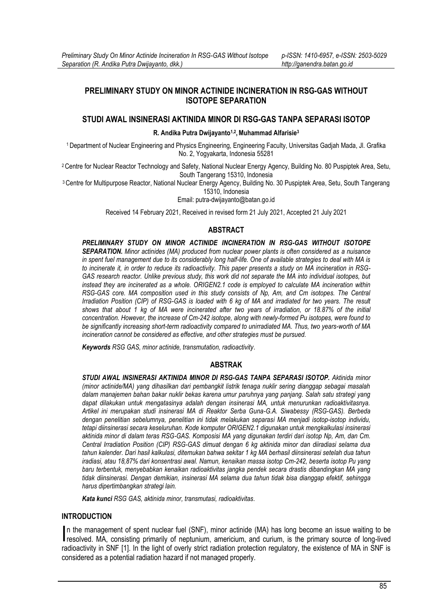## **PRELIMINARY STUDY ON MINOR ACTINIDE INCINERATION IN RSG-GAS WITHOUT ISOTOPE SEPARATION**

## **STUDI AWAL INSINERASI AKTINIDA MINOR DI RSG-GAS TANPA SEPARASI ISOTOP**

**R. Andika Putra Dwijayanto1,2 ,Muhammad Alfarisie<sup>3</sup>**

<sup>1</sup>Department of Nuclear Engineering and Physics Engineering, Engineering Faculty, Universitas Gadjah Mada, Jl. Grafika No. 2, Yogyakarta, Indonesia 55281

<sup>2</sup>Centre for Nuclear Reactor Technology and Safety, National Nuclear Energy Agency, Building No. 80 Puspiptek Area, Setu, South Tangerang 15310, Indonesia

<sup>3</sup>Centre for Multipurpose Reactor, National Nuclear Energy Agency, Building No. 30 Puspiptek Area, Setu, South Tangerang 15310, Indonesia

Email: [putra-dwijayanto@batan.go.id](mailto:putra-dwijayanto@batan.go.id)

Received 14 February 2021, Received in revised form 21 July 2021, Accepted 21 July 2021

## **ABSTRACT**

*PRELIMINARY STUDY ON MINOR ACTINIDE INCINERATION IN RSG-GAS WITHOUT ISOTOPE SEPARATION. Minor actinides (MA) produced from nuclear power plants is often considered as a nuisance in spent fuel management due to its considerably long half-life. One of available strategies to deal with MA is to incinerate it, in order to reduce its radioactivity. This paper presents a study on MA incineration in RSG-GAS research reactor. Unlike previous study, this work did not separate the MA into individual isotopes, but instead they are incinerated as a whole. ORIGEN2.1 code is employed to calculate MA incineration within RSG-GAS core. MA composition used in this study consists of Np, Am, and Cm isotopes. The Central Irradiation Position (CIP) of RSG-GAS is loaded with 6 kg of MA and irradiated for two years. The result shows that about 1 kg of MA were incinerated after two years of irradiation, or 18.87% of the initial concentration. However, the increase of Cm-242 isotope, along with newly-formed Pu isotopes, were found to be significantly increasing short-term radioactivity compared to unirradiated MA. Thus, two years-worth of MA incineration cannot be considered as effective, and other strategies must be pursued.*

*Keywords RSG GAS, minor actinide, transmutation, radioactivity*.

#### **ABSTRAK**

*STUDI AWAL INSINERASI AKTINIDA MINOR DI RSG-GAS TANPA SEPARASI ISOTOP. Aktinida minor (minor actinide/MA) yang dihasilkan dari pembangkit listrik tenaga nuklir sering dianggap sebagai masalah dalam manajemen bahan bakar nuklir bekas karena umur paruhnya yang panjang. Salah satu strategi yang dapat dilakukan untuk mengatasinya adalah dengan insinerasi MA, untuk menurunkan radioaktivitasnya. Artikel ini merupakan studi insinerasi MA di Reaktor Serba Guna-G.A. Siwabessy (RSG-GAS). Berbeda dengan penelitian sebelumnya, penelitian ini tidak melakukan separasi MA menjadi isotop-isotop individu, tetapi diinsinerasi secara keseluruhan. Kode komputer ORIGEN2.1 digunakan untuk mengkalkulasi insinerasi aktinida minor di dalam teras RSG-GAS. Komposisi MA yang digunakan terdiri dari isotop Np, Am, dan Cm. Central Irradiation Position (CIP) RSG-GAS dimuat dengan 6 kg aktinida minor dan diiradiasi selama dua tahun kalender. Dari hasil kalkulasi, ditemukan bahwa sekitar 1 kg MA berhasil diinsinerasi setelah dua tahun iradiasi, atau 18,87% dari konsentrasi awal. Namun, kenaikan massa isotop Cm-242, beserta isotop Pu yang baru terbentuk, menyebabkan kenaikan radioaktivitas jangka pendek secara drastis dibandingkan MA yang tidak diinsinerasi. Dengan demikian, insinerasi MA selama dua tahun tidak bisa dianggap efektif, sehingga harus dipertimbangkan strategi lain.*

*Kata kunci RSG GAS, aktinida minor, transmutasi, radioaktivitas*.

### **INTRODUCTION**

n the management of spent nuclear fuel (SNF), minor actinide (MA) has long become an issue waiting to be In the management of spent nuclear fuel (SNF), minor actinide (MA) has long become an issue waiting to be resolved. MA, consisting primarily of neptunium, americium, and curium, is the primary source of long-lived radioactivity in SNF [1]. In the light of overly strict radiation protection regulatory, the existence of MA in SNF is considered as a potential radiation hazard if not managed properly.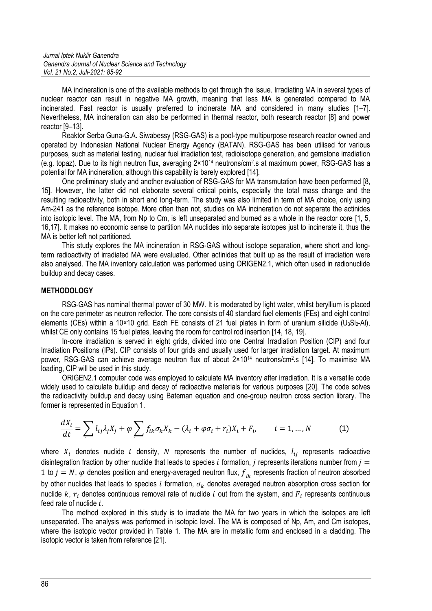*Jurnal Iptek Nuklir Ganendra Ganendra Journal of Nuclear Science and Technology Vol. 21 No.2, Juli-2021: 85-92*

MA incineration is one of the available methods to get through the issue. Irradiating MA in several types of nuclear reactor can result in negative MA growth, meaning that less MA is generated compared to MA incinerated. Fast reactor is usually preferred to incinerate MA and considered in many studies [1–7]. Nevertheless, MA incineration can also be performed in thermal reactor, both research reactor [8] and power reactor [9–13].

Reaktor Serba Guna-G.A. Siwabessy (RSG-GAS) is a pool-type multipurpose research reactor owned and operated by Indonesian National Nuclear Energy Agency (BATAN). RSG-GAS has been utilised for various purposes, such as material testing, nuclear fuel irradiation test, radioisotope generation, and gemstone irradiation (e.g. topaz). Due to its high neutron flux, averaging 2×10<sup>14</sup> neutrons/cm<sup>2</sup> .s at maximum power, RSG-GAS has a potential for MA incineration, although this capability is barely explored [14].

One preliminary study and another evaluation of RSG-GAS for MA transmutation have been performed [8, 15]. However, the latter did not elaborate several critical points, especially the total mass change and the resulting radioactivity, both in short and long-term. The study was also limited in term of MA choice, only using Am-241 as the reference isotope. More often than not, studies on MA incineration do not separate the actinides into isotopic level. The MA, from Np to Cm, is left unseparated and burned as a whole in the reactor core [1, 5, 16,17]. It makes no economic sense to partition MA nuclides into separate isotopes just to incinerate it, thus the MA is better left not partitioned.

This study explores the MA incineration in RSG-GAS without isotope separation, where short and longterm radioactivity of irradiated MA were evaluated. Other actinides that built up as the result of irradiation were also analysed. The MA inventory calculation was performed using ORIGEN2.1, which often used in radionuclide buildup and decay cases.

## **METHODOLOGY**

RSG-GAS has nominal thermal power of 30 MW. It is moderated by light water, whilst beryllium is placed on the core perimeter as neutron reflector. The core consists of 40 standard fuel elements (FEs) and eight control elements (CEs) within a 10×10 grid. Each FE consists of 21 fuel plates in form of uranium silicide (U<sub>3</sub>Si<sub>2</sub>-AI), whilst CE only contains 15 fuel plates, leaving the room for control rod insertion [14, 18, 19].

In-core irradiation is served in eight grids, divided into one Central Irradiation Position (CIP) and four Irradiation Positions (IPs). CIP consists of four grids and usually used for larger irradiation target. At maximum power, RSG-GAS can achieve average neutron flux of about 2×10<sup>14</sup> neutrons/cm<sup>2</sup>.s [14]. To maximise MA loading, CIP will be used in this study.

ORIGEN2.1 computer code was employed to calculate MA inventory after irradiation. It is a versatile code widely used to calculate buildup and decay of radioactive materials for various purposes [20]. The code solves the radioactivity buildup and decay using Bateman equation and one-group neutron cross section library. The former is represented in Equation 1.

$$
\frac{dX_i}{dt} = \sum_{i}^{N} l_{ij} \lambda_j X_j + \varphi \sum_{i}^{N} f_{ik} \sigma_k X_k - (\lambda_i + \varphi \sigma_i + r_i) X_i + F_i, \qquad i = 1, ..., N
$$
 (1)

where  $X_i$  denotes nuclide i density, N represents the number of nuclides,  $l_{ij}$  represents radioactive disintegration fraction by other nuclide that leads to species i formation, j represents iterations number from  $j =$ 1 to  $j = N$ ,  $\varphi$  denotes position and energy-averaged neutron flux,  $f_{ik}$  represents fraction of neutron absorbed by other nuclides that leads to species i formation,  $\sigma_k$  denotes averaged neutron absorption cross section for nuclide  $k$ ,  $r_i$  denotes continuous removal rate of nuclide  $i$  out from the system, and  $F_i$  represents continuous feed rate of nuclide  $i$ .

The method explored in this study is to irradiate the MA for two years in which the isotopes are left unseparated. The analysis was performed in isotopic level. The MA is composed of Np, Am, and Cm isotopes, where the isotopic vector provided in Table 1. The MA are in metallic form and enclosed in a cladding. The isotopic vector is taken from reference [21].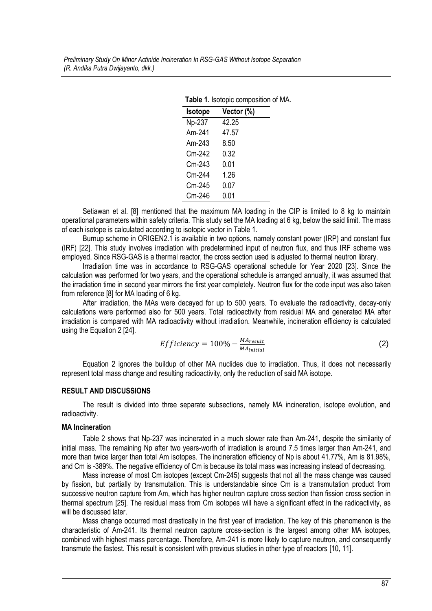| <b>Explorer in replacement on the set of the set of the set of the set of the set of the set of the set of the set</b> |            |  |  |  |
|------------------------------------------------------------------------------------------------------------------------|------------|--|--|--|
| <b>Isotope</b>                                                                                                         | Vector (%) |  |  |  |
| Np-237                                                                                                                 | 42.25      |  |  |  |
| Am-241                                                                                                                 | 47.57      |  |  |  |
| Am-243                                                                                                                 | 8.50       |  |  |  |
| Cm-242                                                                                                                 | 0.32       |  |  |  |
| Cm-243                                                                                                                 | 0.01       |  |  |  |
| Cm-244                                                                                                                 | 1.26       |  |  |  |
| Cm-245                                                                                                                 | 0.07       |  |  |  |
| Cm-246                                                                                                                 | 0.01       |  |  |  |
|                                                                                                                        |            |  |  |  |

#### **Table 1.** Isotopic composition of MA.

Setiawan et al. [8] mentioned that the maximum MA loading in the CIP is limited to 8 kg to maintain operational parameters within safety criteria. This study set the MA loading at 6 kg, below the said limit. The mass of each isotope is calculated according to isotopic vector in Table 1.

Burnup scheme in ORIGEN2.1 is available in two options, namely constant power (IRP) and constant flux (IRF) [22]. This study involves irradiation with predetermined input of neutron flux, and thus IRF scheme was employed. Since RSG-GAS is a thermal reactor, the cross section used is adjusted to thermal neutron library.

Irradiation time was in accordance to RSG-GAS operational schedule for Year 2020 [23]. Since the calculation was performed for two years, and the operational schedule is arranged annually, it was assumed that the irradiation time in second year mirrors the first year completely. Neutron flux for the code input was also taken from reference [8] for MA loading of 6 kg.

After irradiation, the MAs were decayed for up to 500 years. To evaluate the radioactivity, decay-only calculations were performed also for 500 years. Total radioactivity from residual MA and generated MA after irradiation is compared with MA radioactivity without irradiation. Meanwhile, incineration efficiency is calculated using the Equation 2 [24].

$$
Efficiency = 100\% - \frac{M_{result}}{M_{initial}}
$$
 (2)

Equation 2 ignores the buildup of other MA nuclides due to irradiation. Thus, it does not necessarily represent total mass change and resulting radioactivity, only the reduction of said MA isotope.

#### **RESULT AND DISCUSSIONS**

The result is divided into three separate subsections, namely MA incineration, isotope evolution, and radioactivity.

#### **MA Incineration**

Table 2 shows that Np-237 was incinerated in a much slower rate than Am-241, despite the similarity of initial mass. The remaining Np after two years-worth of irradiation is around 7.5 times larger than Am-241, and more than twice larger than total Am isotopes. The incineration efficiency of Np is about 41.77%, Am is 81.98%, and Cm is -389%. The negative efficiency of Cm is because its total mass was increasing instead of decreasing.

Mass increase of most Cm isotopes (except Cm-245) suggests that not all the mass change was caused by fission, but partially by transmutation. This is understandable since Cm is a transmutation product from successive neutron capture from Am, which has higher neutron capture cross section than fission cross section in thermal spectrum [25]. The residual mass from Cm isotopes will have a significant effect in the radioactivity, as will be discussed later.

Mass change occurred most drastically in the first year of irradiation. The key of this phenomenon is the characteristic of Am-241. Its thermal neutron capture cross-section is the largest among other MA isotopes, combined with highest mass percentage. Therefore, Am-241 is more likely to capture neutron, and consequently transmute the fastest. This result is consistent with previous studies in other type of reactors [10, 11].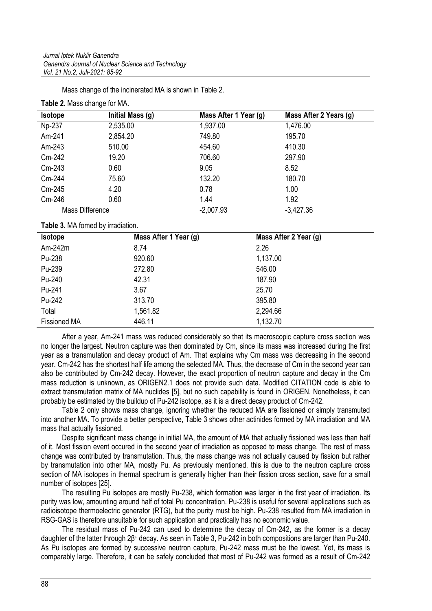Mass change of the incinerated MA is shown in Table 2.

| <b>Isotope</b>  | Initial Mass (g) | Mass After 1 Year (g) | Mass After 2 Years (g) |
|-----------------|------------------|-----------------------|------------------------|
| Np-237          | 2,535.00         | 1,937.00              | 1,476.00               |
| Am-241          | 2,854.20         | 749.80                | 195.70                 |
| Am-243          | 510.00           | 454.60                | 410.30                 |
| Cm-242          | 19.20            | 706.60                | 297.90                 |
| Cm-243          | 0.60             | 9.05                  | 8.52                   |
| Cm-244          | 75.60            | 132.20                | 180.70                 |
| Cm-245          | 4.20             | 0.78                  | 1.00                   |
| Cm-246          | 0.60             | 1.44                  | 1.92                   |
| Mass Difference |                  | $-2,007.93$           | $-3,427.36$            |

**Table 2.** Mass change for MA.

**Table 3.** MA fomed by irradiation.

| <b>Isotope</b>      | Mass After 1 Year (g) | Mass After 2 Year (g) |
|---------------------|-----------------------|-----------------------|
| $Am-242m$           | 8.74                  | 2.26                  |
| Pu-238              | 920.60                | 1,137.00              |
| Pu-239              | 272.80                | 546.00                |
| Pu-240              | 42.31                 | 187.90                |
| Pu-241              | 3.67                  | 25.70                 |
| Pu-242              | 313.70                | 395.80                |
| Total               | 1,561.82              | 2,294.66              |
| <b>Fissioned MA</b> | 446.11                | 1,132.70              |

After a year, Am-241 mass was reduced considerably so that its macroscopic capture cross section was no longer the largest. Neutron capture was then dominated by Cm, since its mass was increased during the first year as a transmutation and decay product of Am. That explains why Cm mass was decreasing in the second year. Cm-242 has the shortest half life among the selected MA. Thus, the decrease of Cm in the second year can also be contributed by Cm-242 decay. However, the exact proportion of neutron capture and decay in the Cm mass reduction is unknown, as ORIGEN2.1 does not provide such data. Modified CITATION code is able to extract transmutation matrix of MA nuclides [5], but no such capability is found in ORIGEN. Nonetheless, it can probably be estimated by the buildup of Pu-242 isotope, as it is a direct decay product of Cm-242.

Table 2 only shows mass change, ignoring whether the reduced MA are fissioned or simply transmuted into another MA. To provide a better perspective, Table 3 shows other actinides formed by MA irradiation and MA mass that actually fissioned.

Despite significant mass change in initial MA, the amount of MA that actually fissioned was less than half of it. Most fission event occured in the second year of irradiation as opposed to mass change. The rest of mass change was contributed by transmutation. Thus, the mass change was not actually caused by fission but rather by transmutation into other MA, mostly Pu. As previously mentioned, this is due to the neutron capture cross section of MA isotopes in thermal spectrum is generally higher than their fission cross section, save for a small number of isotopes [25].

The resulting Pu isotopes are mostly Pu-238, which formation was larger in the first year of irradiation. Its purity was low, amounting around half of total Pu concentration. Pu-238 is useful for several applications such as radioisotope thermoelectric generator (RTG), but the purity must be high. Pu-238 resulted from MA irradiation in RSG-GAS is therefore unsuitable for such application and practically has no economic value.

The residual mass of Pu-242 can used to determine the decay of Cm-242, as the former is a decay daughter of the latter through 2β<sup>+</sup> decay. As seen in Table 3, Pu-242 in both compositions are larger than Pu-240. As Pu isotopes are formed by successive neutron capture, Pu-242 mass must be the lowest. Yet, its mass is comparably large. Therefore, it can be safely concluded that most of Pu-242 was formed as a result of Cm-242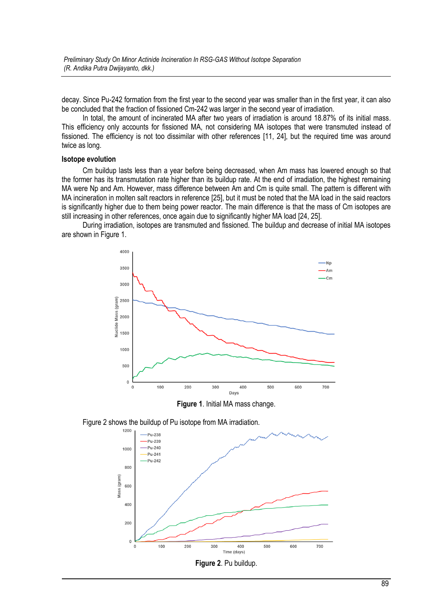decay. Since Pu-242 formation from the first year to the second year was smaller than in the first year, it can also be concluded that the fraction of fissioned Cm-242 was larger in the second year of irradiation.

In total, the amount of incinerated MA after two years of irradiation is around 18.87% of its initial mass. This efficiency only accounts for fissioned MA, not considering MA isotopes that were transmuted instead of fissioned. The efficiency is not too dissimilar with other references [11, 24], but the required time was around twice as long.

#### **Isotope evolution**

Cm buildup lasts less than a year before being decreased, when Am mass has lowered enough so that the former has its transmutation rate higher than its buildup rate. At the end of irradiation, the highest remaining MA were Np and Am. However, mass difference between Am and Cm is quite small. The pattern is different with MA incineration in molten salt reactors in reference [25], but it must be noted that the MA load in the said reactors is significantly higher due to them being power reactor. The main difference is that the mass of Cm isotopes are still increasing in other references, once again due to significantly higher MA load [24, 25].

During irradiation, isotopes are transmuted and fissioned. The buildup and decrease of initial MA isotopes are shown in Figure 1.



**Figure 1**. Initial MA mass change.

Figure 2 shows the buildup of Pu isotope from MA irradiation.

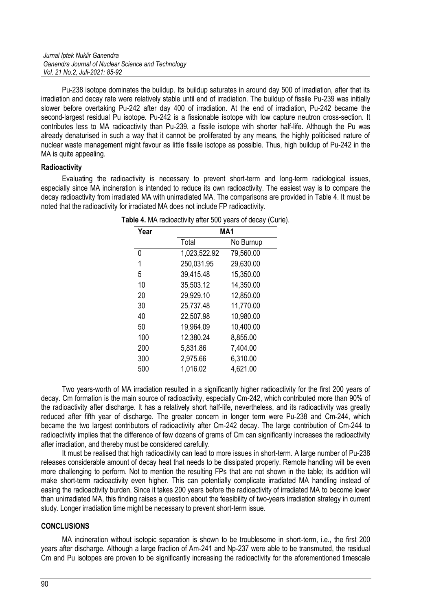Pu-238 isotope dominates the buildup. Its buildup saturates in around day 500 of irradiation, after that its irradiation and decay rate were relatively stable until end of irradiation. The buildup of fissile Pu-239 was initially slower before overtaking Pu-242 after day 400 of irradiation. At the end of irradiation, Pu-242 became the second-largest residual Pu isotope. Pu-242 is a fissionable isotope with low capture neutron cross-section. It contributes less to MA radioactivity than Pu-239, a fissile isotope with shorter half-life. Although the Pu was already denaturised in such a way that it cannot be proliferated by any means, the highly politicised nature of nuclear waste management might favour as little fissile isotope as possible. Thus, high buildup of Pu-242 in the MA is quite appealing.

## **Radioactivity**

Evaluating the radioactivity is necessary to prevent short-term and long-term radiological issues, especially since MA incineration is intended to reduce its own radioactivity. The easiest way is to compare the decay radioactivity from irradiated MA with unirradiated MA. The comparisons are provided in Table 4. It must be noted that the radioactivity for irradiated MA does not include FP radioactivity.

| Year | MA <sub>1</sub> |           |
|------|-----------------|-----------|
|      | Total           | No Burnup |
| 0    | 1,023,522.92    | 79,560.00 |
| 1    | 250,031.95      | 29,630.00 |
| 5    | 39,415.48       | 15,350.00 |
| 10   | 35,503.12       | 14,350.00 |
| 20   | 29,929.10       | 12,850.00 |
| 30   | 25,737.48       | 11,770.00 |
| 40   | 22,507.98       | 10,980.00 |
| 50   | 19,964.09       | 10,400.00 |
| 100  | 12,380.24       | 8,855.00  |
| 200  | 5,831.86        | 7,404.00  |
| 300  | 2,975.66        | 6,310.00  |
| 500  | 1,016.02        | 4,621.00  |

**Table 4.** MA radioactivity after 500 years of decay (Curie).

Two years-worth of MA irradiation resulted in a significantly higher radioactivity for the first 200 years of decay. Cm formation is the main source of radioactivity, especially Cm-242, which contributed more than 90% of the radioactivity after discharge. It has a relatively short half-life, nevertheless, and its radioactivity was greatly reduced after fifth year of discharge. The greater concern in longer term were Pu-238 and Cm-244, which became the two largest contributors of radioactivity after Cm-242 decay. The large contribution of Cm-244 to radioactivity implies that the difference of few dozens of grams of Cm can significantly increases the radioactivity after irradiation, and thereby must be considered carefully.

It must be realised that high radioactivity can lead to more issues in short-term. A large number of Pu-238 releases considerable amount of decay heat that needs to be dissipated properly. Remote handling will be even more challenging to perform. Not to mention the resulting FPs that are not shown in the table; its addition will make short-term radioactivity even higher. This can potentially complicate irradiated MA handling instead of easing the radioactivity burden. Since it takes 200 years before the radioactivity of irradiated MA to become lower than unirradiated MA, this finding raises a question about the feasibility of two-years irradiation strategy in current study. Longer irradiation time might be necessary to prevent short-term issue.

## **CONCLUSIONS**

MA incineration without isotopic separation is shown to be troublesome in short-term, i.e., the first 200 years after discharge. Although a large fraction of Am-241 and Np-237 were able to be transmuted, the residual Cm and Pu isotopes are proven to be significantly increasing the radioactivity for the aforementioned timescale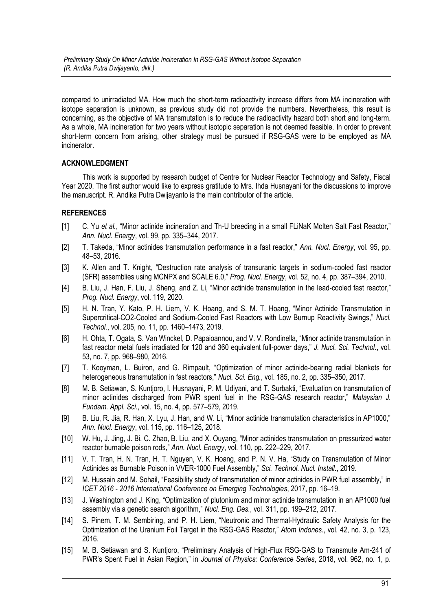compared to unirradiated MA. How much the short-term radioactivity increase differs from MA incineration with isotope separation is unknown, as previous study did not provide the numbers. Nevertheless, this result is concerning, as the objective of MA transmutation is to reduce the radioactivity hazard both short and long-term. As a whole, MA incineration for two years without isotopic separation is not deemed feasible. In order to prevent short-term concern from arising, other strategy must be pursued if RSG-GAS were to be employed as MA incinerator.

## **ACKNOWLEDGMENT**

This work is supported by research budget of Centre for Nuclear Reactor Technology and Safety, Fiscal Year 2020. The first author would like to express gratitude to Mrs. Ihda Husnayani for the discussions to improve the manuscript. R. Andika Putra Dwijayanto is the main contributor of the article.

# **REFERENCES**

- [1] C. Yu *et al.*, "Minor actinide incineration and Th-U breeding in a small FLiNaK Molten Salt Fast Reactor," *Ann. Nucl. Energy*, vol. 99, pp. 335–344, 2017.
- [2] T. Takeda, "Minor actinides transmutation performance in a fast reactor," *Ann. Nucl. Energy*, vol. 95, pp. 48–53, 2016.
- [3] K. Allen and T. Knight, "Destruction rate analysis of transuranic targets in sodium-cooled fast reactor (SFR) assemblies using MCNPX and SCALE 6.0," *Prog. Nucl. Energy*, vol. 52, no. 4, pp. 387–394, 2010.
- [4] B. Liu, J. Han, F. Liu, J. Sheng, and Z. Li, "Minor actinide transmutation in the lead-cooled fast reactor," *Prog. Nucl. Energy*, vol. 119, 2020.
- [5] H. N. Tran, Y. Kato, P. H. Liem, V. K. Hoang, and S. M. T. Hoang, "Minor Actinide Transmutation in Supercritical-CO2-Cooled and Sodium-Cooled Fast Reactors with Low Burnup Reactivity Swings," *Nucl. Technol.*, vol. 205, no. 11, pp. 1460–1473, 2019.
- [6] H. Ohta, T. Ogata, S. Van Winckel, D. Papaioannou, and V. V. Rondinella, "Minor actinide transmutation in fast reactor metal fuels irradiated for 120 and 360 equivalent full-power days," *J. Nucl. Sci. Technol.*, vol. 53, no. 7, pp. 968–980, 2016.
- [7] T. Kooyman, L. Buiron, and G. Rimpault, "Optimization of minor actinide-bearing radial blankets for heterogeneous transmutation in fast reactors," *Nucl. Sci. Eng.*, vol. 185, no. 2, pp. 335–350, 2017.
- [8] M. B. Setiawan, S. Kuntioro, I. Husnayani, P. M. Udiyani, and T. Surbakti, "Evaluation on transmutation of minor actinides discharged from PWR spent fuel in the RSG-GAS research reactor," *Malaysian J. Fundam. Appl. Sci.*, vol. 15, no. 4, pp. 577–579, 2019.
- [9] B. Liu, R. Jia, R. Han, X. Lyu, J. Han, and W. Li, "Minor actinide transmutation characteristics in AP1000," *Ann. Nucl. Energy*, vol. 115, pp. 116–125, 2018.
- [10] W. Hu, J. Jing, J. Bi, C. Zhao, B. Liu, and X. Ouyang, "Minor actinides transmutation on pressurized water reactor burnable poison rods," *Ann. Nucl. Energy*, vol. 110, pp. 222–229, 2017.
- [11] V. T. Tran, H. N. Tran, H. T. Nguyen, V. K. Hoang, and P. N. V. Ha, "Study on Transmutation of Minor Actinides as Burnable Poison in VVER-1000 Fuel Assembly," *Sci. Technol. Nucl. Install.*, 2019.
- [12] M. Hussain and M. Sohail, "Feasibility study of transmutation of minor actinides in PWR fuel assembly," in *ICET 2016 - 2016 International Conference on Emerging Technologies*, 2017, pp. 16–19.
- [13] J. Washington and J. King, "Optimization of plutonium and minor actinide transmutation in an AP1000 fuel assembly via a genetic search algorithm," *Nucl. Eng. Des.*, vol. 311, pp. 199–212, 2017.
- [14] S. Pinem, T. M. Sembiring, and P. H. Liem, "Neutronic and Thermal-Hydraulic Safety Analysis for the Optimization of the Uranium Foil Target in the RSG-GAS Reactor," *Atom Indones.*, vol. 42, no. 3, p. 123, 2016.
- [15] M. B. Setiawan and S. Kuntjoro, "Preliminary Analysis of High-Flux RSG-GAS to Transmute Am-241 of PWR's Spent Fuel in Asian Region," in *Journal of Physics: Conference Series*, 2018, vol. 962, no. 1, p.